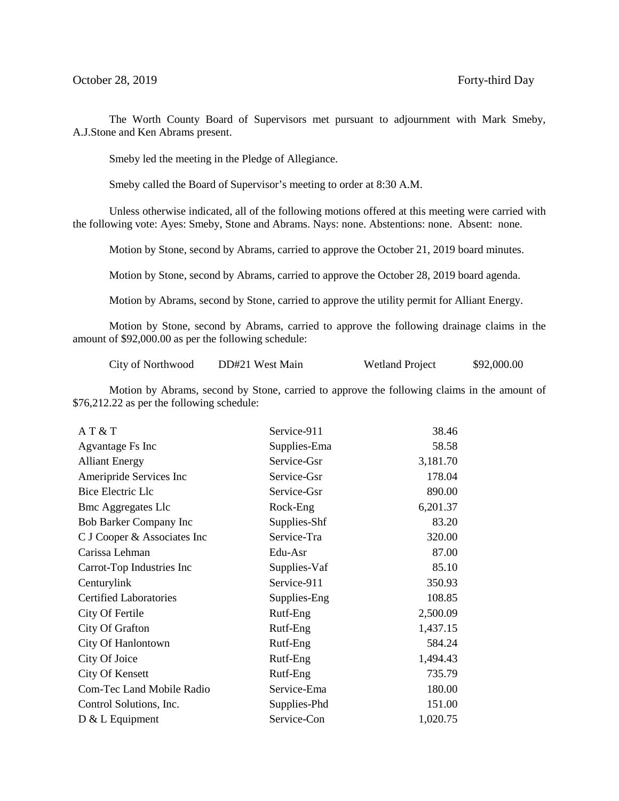The Worth County Board of Supervisors met pursuant to adjournment with Mark Smeby, A.J.Stone and Ken Abrams present.

Smeby led the meeting in the Pledge of Allegiance.

Smeby called the Board of Supervisor's meeting to order at 8:30 A.M.

Unless otherwise indicated, all of the following motions offered at this meeting were carried with the following vote: Ayes: Smeby, Stone and Abrams. Nays: none. Abstentions: none. Absent: none.

Motion by Stone, second by Abrams, carried to approve the October 21, 2019 board minutes.

Motion by Stone, second by Abrams, carried to approve the October 28, 2019 board agenda.

Motion by Abrams, second by Stone, carried to approve the utility permit for Alliant Energy.

Motion by Stone, second by Abrams, carried to approve the following drainage claims in the amount of \$92,000.00 as per the following schedule:

City of Northwood DD#21 West Main Wetland Project \$92,000.00

Motion by Abrams, second by Stone, carried to approve the following claims in the amount of \$76,212.22 as per the following schedule:

| AT & T                        | Service-911  | 38.46    |
|-------------------------------|--------------|----------|
| Agvantage Fs Inc              | Supplies-Ema | 58.58    |
| <b>Alliant Energy</b>         | Service-Gsr  | 3,181.70 |
| Ameripride Services Inc       | Service-Gsr  | 178.04   |
| Bice Electric Llc             | Service-Gsr  | 890.00   |
| <b>Bmc Aggregates Llc</b>     | Rock-Eng     | 6,201.37 |
| Bob Barker Company Inc        | Supplies-Shf | 83.20    |
| C J Cooper & Associates Inc   | Service-Tra  | 320.00   |
| Carissa Lehman                | Edu-Asr      | 87.00    |
| Carrot-Top Industries Inc     | Supplies-Vaf | 85.10    |
| Centurylink                   | Service-911  | 350.93   |
| <b>Certified Laboratories</b> | Supplies-Eng | 108.85   |
| City Of Fertile               | Rutf-Eng     | 2,500.09 |
| City Of Grafton               | Rutf-Eng     | 1,437.15 |
| City Of Hanlontown            | Rutf-Eng     | 584.24   |
| City Of Joice                 | Rutf-Eng     | 1,494.43 |
| <b>City Of Kensett</b>        | Rutf-Eng     | 735.79   |
| Com-Tec Land Mobile Radio     | Service-Ema  | 180.00   |
| Control Solutions, Inc.       | Supplies-Phd | 151.00   |
| $D & L$ Equipment             | Service-Con  | 1,020.75 |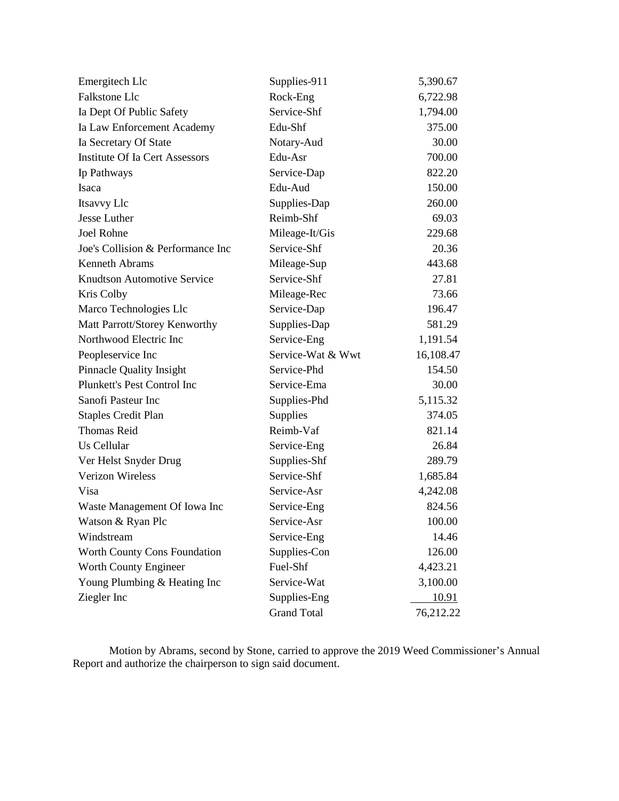| Emergitech Llc                        | Supplies-911      | 5,390.67     |
|---------------------------------------|-------------------|--------------|
| Falkstone Llc                         | Rock-Eng          | 6,722.98     |
| Ia Dept Of Public Safety              | Service-Shf       | 1,794.00     |
| Ia Law Enforcement Academy            | Edu-Shf           | 375.00       |
| Ia Secretary Of State                 | Notary-Aud        | 30.00        |
| <b>Institute Of Ia Cert Assessors</b> | Edu-Asr           | 700.00       |
| Ip Pathways                           | Service-Dap       | 822.20       |
| Isaca                                 | Edu-Aud           | 150.00       |
| Itsavvy Llc                           | Supplies-Dap      | 260.00       |
| Jesse Luther                          | Reimb-Shf         | 69.03        |
| Joel Rohne                            | Mileage-It/Gis    | 229.68       |
| Joe's Collision & Performance Inc     | Service-Shf       | 20.36        |
| <b>Kenneth Abrams</b>                 | Mileage-Sup       | 443.68       |
| <b>Knudtson Automotive Service</b>    | Service-Shf       | 27.81        |
| Kris Colby                            | Mileage-Rec       | 73.66        |
| Marco Technologies Llc                | Service-Dap       | 196.47       |
| Matt Parrott/Storey Kenworthy         | Supplies-Dap      | 581.29       |
| Northwood Electric Inc                | Service-Eng       | 1,191.54     |
| Peopleservice Inc                     | Service-Wat & Wwt | 16,108.47    |
| Pinnacle Quality Insight              | Service-Phd       | 154.50       |
|                                       | Service-Ema       | 30.00        |
| Plunkett's Pest Control Inc           |                   |              |
| Sanofi Pasteur Inc                    | Supplies-Phd      | 5,115.32     |
| <b>Staples Credit Plan</b>            | Supplies          | 374.05       |
| <b>Thomas Reid</b>                    | Reimb-Vaf         | 821.14       |
| Us Cellular                           | Service-Eng       | 26.84        |
| Ver Helst Snyder Drug                 | Supplies-Shf      | 289.79       |
| <b>Verizon Wireless</b>               | Service-Shf       | 1,685.84     |
| Visa                                  | Service-Asr       | 4,242.08     |
| Waste Management Of Iowa Inc          | Service-Eng       | 824.56       |
| Watson & Ryan Plc                     | Service-Asr       | 100.00       |
| Windstream                            | Service-Eng       | 14.46        |
| Worth County Cons Foundation          | Supplies-Con      | 126.00       |
| Worth County Engineer                 | Fuel-Shf          | 4,423.21     |
| Young Plumbing & Heating Inc          | Service-Wat       | 3,100.00     |
| Ziegler Inc                           | Supplies-Eng      | <u>10.91</u> |

Motion by Abrams, second by Stone, carried to approve the 2019 Weed Commissioner's Annual Report and authorize the chairperson to sign said document.